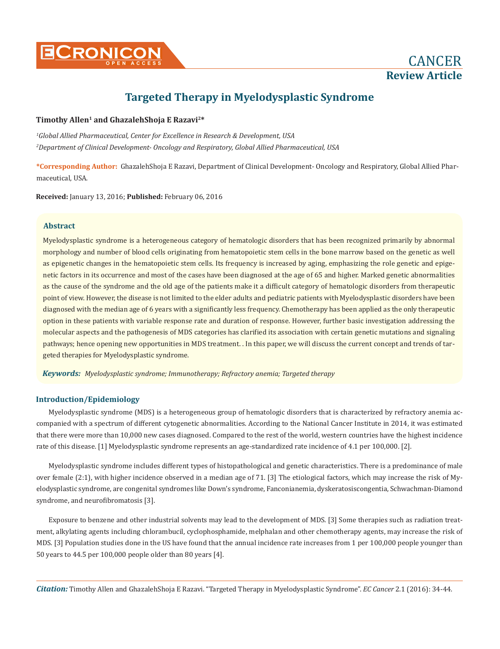



# **Targeted Therapy in Myelodysplastic Syndrome**

# **Timothy Allen1 and GhazalehShoja E Razavi2\***

*1 Global Allied Pharmaceutical, Center for Excellence in Research & Development, USA 2 Department of Clinical Development- Oncology and Respiratory, Global Allied Pharmaceutical, USA*

**\*Corresponding Author:** GhazalehShoja E Razavi, Department of Clinical Development- Oncology and Respiratory, Global Allied Pharmaceutical, USA.

**Received:** January 13, 2016; **Published:** February 06, 2016

## **Abstract**

Myelodysplastic syndrome is a heterogeneous category of hematologic disorders that has been recognized primarily by abnormal morphology and number of blood cells originating from hematopoietic stem cells in the bone marrow based on the genetic as well as epigenetic changes in the hematopoietic stem cells. Its frequency is increased by aging, emphasizing the role genetic and epigenetic factors in its occurrence and most of the cases have been diagnosed at the age of 65 and higher. Marked genetic abnormalities as the cause of the syndrome and the old age of the patients make it a difficult category of hematologic disorders from therapeutic point of view. However, the disease is not limited to the elder adults and pediatric patients with Myelodysplastic disorders have been diagnosed with the median age of 6 years with a significantly less frequency. Chemotherapy has been applied as the only therapeutic option in these patients with variable response rate and duration of response. However, further basic investigation addressing the molecular aspects and the pathogenesis of MDS categories has clarified its association with certain genetic mutations and signaling pathways; hence opening new opportunities in MDS treatment. . In this paper, we will discuss the current concept and trends of targeted therapies for Myelodysplastic syndrome.

*Keywords: Myelodysplastic syndrome; Immunotherapy; Refractory anemia; Targeted therapy*

# **Introduction/Epidemiology**

Myelodysplastic syndrome (MDS) is a heterogeneous group of hematologic disorders that is characterized by refractory anemia accompanied with a spectrum of different cytogenetic abnormalities. According to the National Cancer Institute in 2014, it was estimated that there were more than 10,000 new cases diagnosed. Compared to the rest of the world, western countries have the highest incidence rate of this disease. [1] Myelodysplastic syndrome represents an age-standardized rate incidence of 4.1 per 100,000. [2].

Myelodysplastic syndrome includes different types of histopathological and genetic characteristics. There is a predominance of male over female (2:1), with higher incidence observed in a median age of 71. [3] The etiological factors, which may increase the risk of Myelodysplastic syndrome, are congenital syndromes like Down's syndrome, Fanconianemia, dyskeratosiscongentia, Schwachman-Diamond syndrome, and neurofibromatosis [3].

Exposure to benzene and other industrial solvents may lead to the development of MDS. [3] Some therapies such as radiation treatment, alkylating agents including chlorambucil, cyclophosphamide, melphalan and other chemotherapy agents, may increase the risk of MDS. [3] Population studies done in the US have found that the annual incidence rate increases from 1 per 100,000 people younger than 50 years to 44.5 per 100,000 people older than 80 years [4].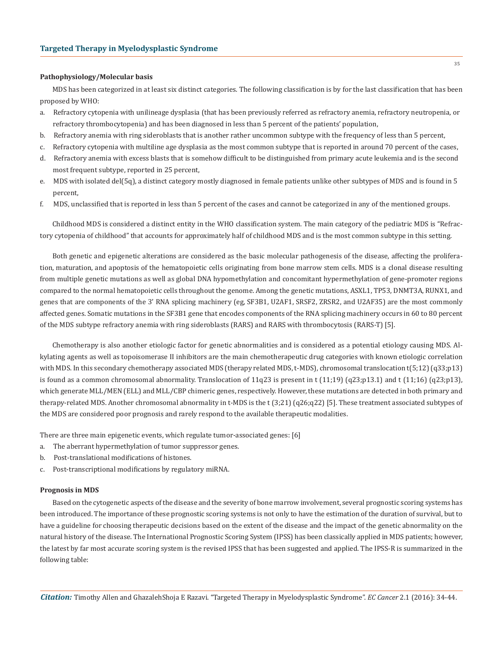### **Pathophysiology/Molecular basis**

MDS has been categorized in at least six distinct categories. The following classification is by for the last classification that has been proposed by WHO:

- a. Refractory cytopenia with unilineage dysplasia (that has been previously referred as refractory anemia, refractory neutropenia, or refractory thrombocytopenia) and has been diagnosed in less than 5 percent of the patients' population,
- b. Refractory anemia with ring sideroblasts that is another rather uncommon subtype with the frequency of less than 5 percent,
- c. Refractory cytopenia with multiline age dysplasia as the most common subtype that is reported in around 70 percent of the cases,
- d. Refractory anemia with excess blasts that is somehow difficult to be distinguished from primary acute leukemia and is the second most frequent subtype, reported in 25 percent,
- e. MDS with isolated del(5q), a distinct category mostly diagnosed in female patients unlike other subtypes of MDS and is found in 5 percent,
- f. MDS, unclassified that is reported in less than 5 percent of the cases and cannot be categorized in any of the mentioned groups.

Childhood MDS is considered a distinct entity in the WHO classification system. The main category of the pediatric MDS is "Refractory cytopenia of childhood" that accounts for approximately half of childhood MDS and is the most common subtype in this setting.

Both genetic and epigenetic alterations are considered as the basic molecular pathogenesis of the disease, affecting the proliferation, maturation, and apoptosis of the hematopoietic cells originating from bone marrow stem cells. MDS is a clonal disease resulting from multiple genetic mutations as well as global DNA hypomethylation and concomitant hypermethylation of gene-promoter regions compared to the normal hematopoietic cells throughout the genome. Among the genetic mutations, ASXL1, TP53, DNMT3A, RUNX1, and genes that are components of the 3' RNA splicing machinery (eg, SF3B1, U2AF1, SRSF2, ZRSR2, and U2AF35) are the most commonly affected genes. Somatic mutations in the SF3B1 gene that encodes components of the RNA splicing machinery occurs in 60 to 80 percent of the MDS subtype refractory anemia with ring sideroblasts (RARS) and RARS with thrombocytosis (RARS-T) [5].

Chemotherapy is also another etiologic factor for genetic abnormalities and is considered as a potential etiology causing MDS. Alkylating agents as well as topoisomerase II inhibitors are the main chemotherapeutic drug categories with known etiologic correlation with MDS. In this secondary chemotherapy associated MDS (therapy related MDS, t-MDS), chromosomal translocation t(5;12) (q33;p13) is found as a common chromosomal abnormality. Translocation of 11q23 is present in t  $(11;19)$  (q23;p13.1) and t  $(11;16)$  (q23;p13), which generate MLL/MEN (ELL) and MLL/CBP chimeric genes, respectively. However, these mutations are detected in both primary and therapy-related MDS. Another chromosomal abnormality in t-MDS is the t (3;21) (q26;q22) [5]. These treatment associated subtypes of the MDS are considered poor prognosis and rarely respond to the available therapeutic modalities.

There are three main epigenetic events, which regulate tumor-associated genes: [6]

- a. The aberrant hypermethylation of tumor suppressor genes.
- b. Post-translational modifications of histones.
- c. Post-transcriptional modifications by regulatory miRNA.

### **Prognosis in MDS**

Based on the cytogenetic aspects of the disease and the severity of bone marrow involvement, several prognostic scoring systems has been introduced. The importance of these prognostic scoring systems is not only to have the estimation of the duration of survival, but to have a guideline for choosing therapeutic decisions based on the extent of the disease and the impact of the genetic abnormality on the natural history of the disease. The International Prognostic Scoring System (IPSS) has been classically applied in MDS patients; however, the latest by far most accurate scoring system is the revised IPSS that has been suggested and applied. The IPSS-R is summarized in the following table: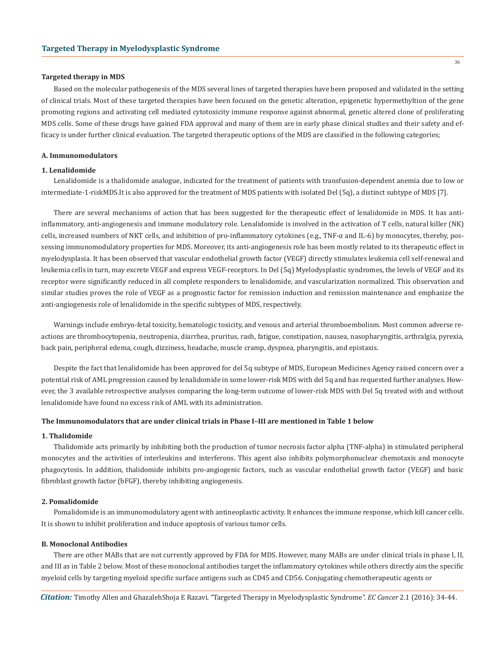### **Targeted therapy in MDS**

Based on the molecular pathogenesis of the MDS several lines of targeted therapies have been proposed and validated in the setting of clinical trials. Most of these targeted therapies have been focused on the genetic alteration, epigenetic hypermethyltion of the gene promoting regions and activating cell mediated cytotoxicity immune response against abnormal, genetic altered clone of proliferating MDS cells. Some of these drugs have gained FDA approval and many of them are in early phase clinical studies and their safety and efficacy is under further clinical evaluation. The targeted therapeutic options of the MDS are classified in the following categories;

### **A. Immunomodulators**

#### **1. Lenalidomide**

Lenalidomide is a thalidomide analogue, indicated for the treatment of patients with transfusion-dependent anemia due to low or intermediate-1-riskMDS.It is also approved for the treatment of MDS patients with isolated Del (5q), a distinct subtype of MDS [7].

There are several mechanisms of action that has been suggested for the therapeutic effect of lenalidomide in MDS. It has antiinflammatory, anti-angiogenesis and immune modulatory role. Lenalidomide is involved in the activation of T cells, natural killer (NK) cells, increased numbers of NKT cells, and inhibition of pro-inflammatory cytokines (e.g., TNF-α and IL-6) by monocytes, thereby, possessing immunomodulatory properties for MDS. Moreover, its anti-angiogenesis role has been mostly related to its therapeutic effect in myelodysplasia. It has been observed that vascular endothelial growth factor (VEGF) directly stimulates leukemia cell self-renewal and leukemia cells in turn, may excrete VEGF and express VEGF-receptors. In Del (5q) Myelodysplastic syndromes, the levels of VEGF and its receptor were significantly reduced in all complete responders to lenalidomide, and vascularization normalized. This observation and similar studies proves the role of VEGF as a prognostic factor for remission induction and remission maintenance and emphasize the anti-angiogenesis role of lenalidomide in the specific subtypes of MDS, respectively.

Warnings include embryo-fetal toxicity, hematologic toxicity, and venous and arterial thromboembolism. Most common adverse reactions are thrombocytopenia, neutropenia, diarrhea, pruritus, rash, fatigue, constipation, nausea, nasopharyngitis, arthralgia, pyrexia, back pain, peripheral edema, cough, dizziness, headache, muscle cramp, dyspnea, pharyngitis, and epistaxis.

Despite the fact that lenalidomide has been approved for del 5q subtype of MDS, European Medicines Agency raised concern over a potential risk of AML progression caused by lenalidomide in some lower-risk MDS with del 5q and has requested further analyses. However, the 3 available retrospective analyses comparing the long-term outcome of lower-risk MDS with Del 5q treated with and without lenalidomide have found no excess risk of AML with its administration.

# **The Immunomodulators that are under clinical trials in Phase I–III are mentioned in Table 1 below**

# **1. Thalidomide**

Thalidomide acts primarily by inhibiting both the production of tumor necrosis factor alpha (TNF-alpha) in stimulated peripheral monocytes and the activities of interleukins and interferons. This agent also inhibits polymorphonuclear chemotaxis and monocyte phagocytosis. In addition, thalidomide inhibits pro-angiogenic factors, such as vascular endothelial growth factor (VEGF) and basic fibroblast growth factor (bFGF), thereby inhibiting angiogenesis.

# **2. Pomalidomide**

Pomalidomide is an immunomodulatory agent with antineoplastic activity. It enhances the immune response, which kill cancer cells. It is shown to inhibit proliferation and induce apoptosis of various tumor cells.

# **B. Monoclonal Antibodies**

There are other MABs that are not currently approved by FDA for MDS. However, many MABs are under clinical trials in phase I, II, and III as in Table 2 below. Most of these monoclonal antibodies target the inflammatory cytokines while others directly aim the specific myeloid cells by targeting myeloid specific surface antigens such as CD45 and CD56. Conjugating chemotherapeutic agents or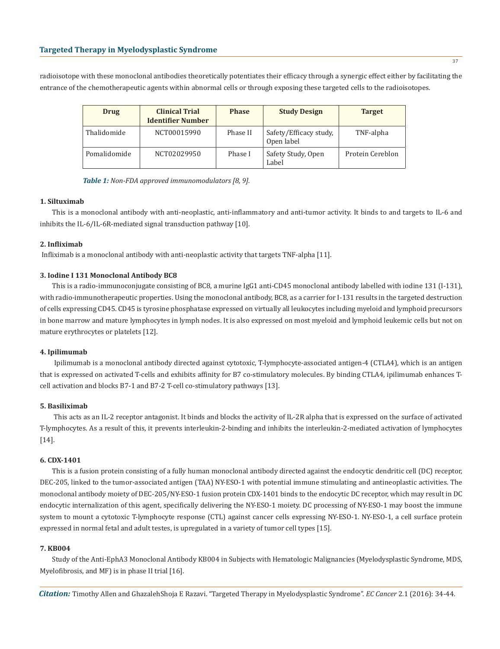radioisotope with these monoclonal antibodies theoretically potentiates their efficacy through a synergic effect either by facilitating the entrance of the chemotherapeutic agents within abnormal cells or through exposing these targeted cells to the radioisotopes.

| Drug         | <b>Clinical Trial</b><br><b>Identifier Number</b> | <b>Phase</b> | <b>Study Design</b>                  | <b>Target</b>    |
|--------------|---------------------------------------------------|--------------|--------------------------------------|------------------|
| Thalidomide  | NCT00015990                                       | Phase II     | Safety/Efficacy study,<br>Open label | TNF-alpha        |
| Pomalidomide | NCT02029950                                       | Phase I      | Safety Study, Open<br>Label          | Protein Cereblon |

*Table 1: Non-FDA approved immunomodulators [8, 9].*

### **1. Siltuximab**

This is a monoclonal antibody with anti-neoplastic, anti-inflammatory and anti-tumor activity. It binds to and targets to IL-6 and inhibits the IL-6/IL-6R-mediated signal transduction pathway [10].

### **2. Infliximab**

Infliximab is a monoclonal antibody with anti-neoplastic activity that targets TNF-alpha [11].

# **3. Iodine I 131 Monoclonal Antibody BC8**

This is a radio-immunoconjugate consisting of BC8, a murine IgG1 anti-CD45 monoclonal antibody labelled with iodine 131 (I-131), with radio-immunotherapeutic properties. Using the monoclonal antibody, BC8, as a carrier for I-131 results in the targeted destruction of cells expressing CD45. CD45 is tyrosine phosphatase expressed on virtually all leukocytes including myeloid and lymphoid precursors in bone marrow and mature lymphocytes in lymph nodes. It is also expressed on most myeloid and lymphoid leukemic cells but not on mature erythrocytes or platelets [12].

### **4. Ipilimumab**

 Ipilimumab is a monoclonal antibody directed against cytotoxic, T-lymphocyte-associated antigen-4 (CTLA4), which is an antigen that is expressed on activated T-cells and exhibits affinity for B7 co-stimulatory molecules. By binding CTLA4, ipilimumab enhances Tcell activation and blocks B7-1 and B7-2 T-cell co-stimulatory pathways [13].

### **5. Basiliximab**

 This acts as an IL-2 receptor antagonist. It binds and blocks the activity of IL-2R alpha that is expressed on the surface of activated T-lymphocytes. As a result of this, it prevents interleukin-2-binding and inhibits the interleukin-2-mediated activation of lymphocytes [14].

### **6. CDX-1401**

This is a fusion protein consisting of a fully human monoclonal antibody directed against the endocytic dendritic cell (DC) receptor, DEC-205, linked to the tumor-associated antigen (TAA) NY-ESO-1 with potential immune stimulating and antineoplastic activities. The monoclonal antibody moiety of DEC-205/NY-ESO-1 fusion protein CDX-1401 binds to the endocytic DC receptor, which may result in DC endocytic internalization of this agent, specifically delivering the NY-ESO-1 moiety. DC processing of NY-ESO-1 may boost the immune system to mount a cytotoxic T-lymphocyte response (CTL) against cancer cells expressing NY-ESO-1. NY-ESO-1, a cell surface protein expressed in normal fetal and adult testes, is upregulated in a variety of tumor cell types [15].

### **7. KB004**

Study of the Anti-EphA3 Monoclonal Antibody KB004 in Subjects with Hematologic Malignancies (Myelodysplastic Syndrome, MDS, Myelofibrosis, and MF) is in phase II trial [16].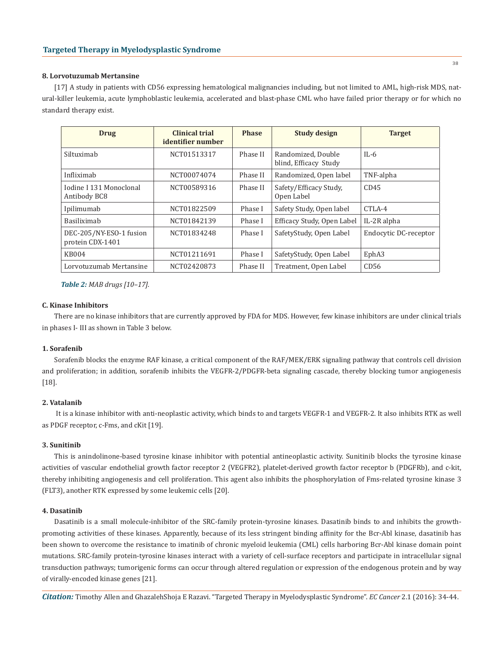### **8. Lorvotuzumab Mertansine**

[17] A study in patients with CD56 expressing hematological malignancies including, but not limited to AML, high-risk MDS, natural-killer leukemia, acute lymphoblastic leukemia, accelerated and blast-phase CML who have failed prior therapy or for which no standard therapy exist.

| Drug                                        | <b>Clinical trial</b><br>identifier number | <b>Phase</b> | <b>Study design</b>                         | <b>Target</b>         |
|---------------------------------------------|--------------------------------------------|--------------|---------------------------------------------|-----------------------|
| Siltuximab                                  | NCT01513317                                | Phase II     | Randomized, Double<br>blind, Efficacy Study | $IL-6$                |
| Infliximab                                  | NCT00074074                                | Phase II     | Randomized, Open label                      | TNF-alpha             |
| Iodine I 131 Monoclonal<br>Antibody BC8     | NCT00589316                                | Phase II     | Safety/Efficacy Study,<br>Open Label        | CD45                  |
| Ipilimumab                                  | NCT01822509                                | Phase I      | Safety Study, Open label                    | CTLA-4                |
| <b>Basiliximab</b>                          | NCT01842139                                | Phase I      | Efficacy Study, Open Label                  | IL-2R alpha           |
| DEC-205/NY-ESO-1 fusion<br>protein CDX-1401 | NCT01834248                                | Phase I      | SafetyStudy, Open Label                     | Endocytic DC-receptor |
| <b>KB004</b>                                | NCT01211691                                | Phase I      | SafetyStudy, Open Label                     | Eph <sub>A3</sub>     |
| Lorvotuzumab Mertansine                     | NCT02420873                                | Phase II     | Treatment, Open Label                       | CD56                  |

*Table 2: MAB drugs [10–17].*

# **C. Kinase Inhibitors**

There are no kinase inhibitors that are currently approved by FDA for MDS. However, few kinase inhibitors are under clinical trials in phases I- III as shown in Table 3 below.

### **1. Sorafenib**

Sorafenib blocks the enzyme RAF kinase, a critical component of the RAF/MEK/ERK signaling pathway that controls cell division and proliferation; in addition, sorafenib inhibits the VEGFR-2/PDGFR-beta signaling cascade, thereby blocking tumor angiogenesis [18].

### **2. Vatalanib**

 It is a kinase inhibitor with anti-neoplastic activity, which binds to and targets VEGFR-1 and VEGFR-2. It also inhibits RTK as well as PDGF receptor, c-Fms, and cKit [19].

### **3. Sunitinib**

This is anindolinone-based tyrosine kinase inhibitor with potential antineoplastic activity. Sunitinib blocks the tyrosine kinase activities of vascular endothelial growth factor receptor 2 (VEGFR2), platelet-derived growth factor receptor b (PDGFRb), and c-kit, thereby inhibiting angiogenesis and cell proliferation. This agent also inhibits the phosphorylation of Fms-related tyrosine kinase 3 (FLT3), another RTK expressed by some leukemic cells [20].

### **4. Dasatinib**

Dasatinib is a small molecule-inhibitor of the SRC-family protein-tyrosine kinases. Dasatinib binds to and inhibits the growthpromoting activities of these kinases. Apparently, because of its less stringent binding affinity for the Bcr-Abl kinase, dasatinib has been shown to overcome the resistance to imatinib of chronic myeloid leukemia (CML) cells harboring Bcr-Abl kinase domain point mutations. SRC-family protein-tyrosine kinases interact with a variety of cell-surface receptors and participate in intracellular signal transduction pathways; tumorigenic forms can occur through altered regulation or expression of the endogenous protein and by way of virally-encoded kinase genes [21].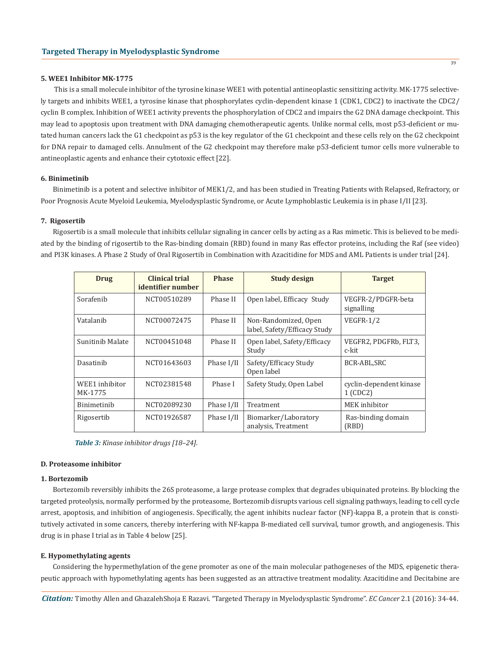# **5. WEE1 Inhibitor MK-1775**

 This is a small molecule inhibitor of the tyrosine kinase WEE1 with potential antineoplastic sensitizing activity. MK-1775 selectively targets and inhibits WEE1, a tyrosine kinase that phosphorylates cyclin-dependent kinase 1 (CDK1, CDC2) to inactivate the CDC2/ cyclin B complex. Inhibition of WEE1 activity prevents the phosphorylation of CDC2 and impairs the G2 DNA damage checkpoint. This may lead to apoptosis upon treatment with DNA damaging chemotherapeutic agents. Unlike normal cells, most p53-deficient or mutated human cancers lack the G1 checkpoint as p53 is the key regulator of the G1 checkpoint and these cells rely on the G2 checkpoint for DNA repair to damaged cells. Annulment of the G2 checkpoint may therefore make p53-deficient tumor cells more vulnerable to antineoplastic agents and enhance their cytotoxic effect [22].

# **6. Binimetinib**

Binimetinib is a potent and selective inhibitor of MEK1/2, and has been studied in Treating Patients with Relapsed, Refractory, or Poor Prognosis Acute Myeloid Leukemia, Myelodysplastic Syndrome, or Acute Lymphoblastic Leukemia is in phase I/II [23].

# **7. Rigosertib**

Rigosertib is a small molecule that inhibits cellular signaling in cancer cells by acting as a Ras mimetic. This is believed to be mediated by the binding of rigosertib to the Ras-binding domain (RBD) found in many Ras effector proteins, including the Raf (see video) and PI3K kinases. A Phase 2 Study of Oral Rigosertib in Combination with Azacitidine for MDS and AML Patients is under trial [24].

| <b>Drug</b>               | Clinical trial<br>identifier number | <b>Phase</b> | <b>Study design</b>                                  | <b>Target</b>                       |
|---------------------------|-------------------------------------|--------------|------------------------------------------------------|-------------------------------------|
| Sorafenib                 | NCT00510289                         | Phase II     | Open label, Efficacy Study                           | VEGFR-2/PDGFR-beta<br>signalling    |
| Vatalanib                 | NCT00072475                         | Phase II     | Non-Randomized, Open<br>label, Safety/Efficacy Study | $VEGFR-1/2$                         |
| Sunitinib Malate          | NCT00451048                         | Phase II     | Open label, Safety/Efficacy<br>Study                 | VEGFR2. PDGFRb. FLT3.<br>c-kit      |
| Dasatinib                 | NCT01643603                         | Phase I/II   | Safety/Efficacy Study<br>Open label                  | BCR-ABL, SRC                        |
| WEE1 inhibitor<br>MK-1775 | NCT02381548                         | Phase I      | Safety Study, Open Label                             | cyclin-dependent kinase<br>1 (CDC2) |
| <b>Binimetinib</b>        | NCT02089230                         | Phase I/II   | Treatment                                            | MEK inhibitor                       |
| Rigosertib                | NCT01926587                         | Phase I/II   | Biomarker/Laboratory<br>analysis, Treatment          | Ras-binding domain<br>(RBD)         |

*Table 3: Kinase inhibitor drugs [18–24].*

### **D. Proteasome inhibitor**

### **1. Bortezomib**

Bortezomib reversibly inhibits the 26S proteasome, a large protease complex that degrades ubiquinated proteins. By blocking the targeted proteolysis, normally performed by the proteasome, Bortezomib disrupts various cell signaling pathways, leading to cell cycle arrest, apoptosis, and inhibition of angiogenesis. Specifically, the agent inhibits nuclear factor (NF)-kappa B, a protein that is constitutively activated in some cancers, thereby interfering with NF-kappa B-mediated cell survival, tumor growth, and angiogenesis. This drug is in phase I trial as in Table 4 below [25].

#### **E. Hypomethylating agents**

Considering the hypermethylation of the gene promoter as one of the main molecular pathogeneses of the MDS, epigenetic therapeutic approach with hypomethylating agents has been suggested as an attractive treatment modality. Azacitidine and Decitabine are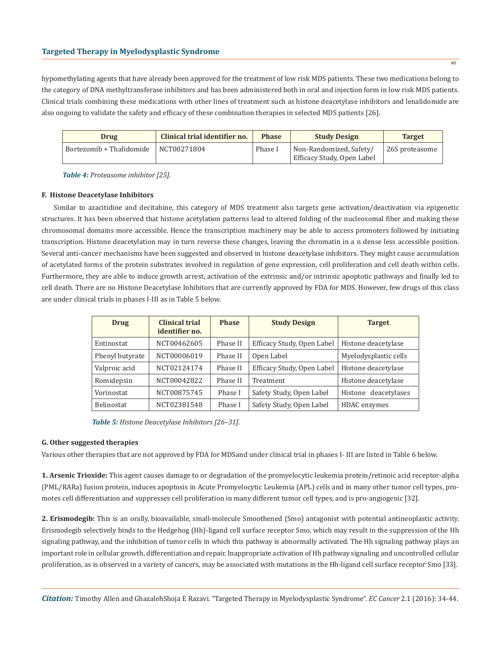# **Targeted Therapy in Myelodysplastic Syndrome**

hypomethylating agents that have already been approved for the treatment of low risk MDS patients. These two medications belong to the category of DNA methyltransferase inhibitors and has been administered both in oral and injection form in low risk MDS patients. Clinical trials combining these medications with other lines of treatment such as histone deacetylase inhibitors and lenalidomide are also ongoing to validate the safety and efficacy of these combination therapies in selected MDS patients [26].

| Drug                     | Clinical trial identifier no. | <b>Phase</b> | <b>Study Design</b>                                   | <b>Target</b>  |
|--------------------------|-------------------------------|--------------|-------------------------------------------------------|----------------|
| Bortezomib + Thalidomide | NCT00271804                   |              | Non-Randomized, Safety/<br>Efficacy Study, Open Label | 26S proteasome |

*Table 4: Proteasome inhibitor [25].*

## **F. Histone Deacetylase Inhibitors**

Similar to azacitidine and decitabine, this category of MDS treatment also targets gene activation/deactivation via epigenetic structures. It has been observed that histone acetylation patterns lead to altered folding of the nucleosomal fiber and making these chromosomal domains more accessible. Hence the transcription machinery may be able to access promoters followed by initiating transcription. Histone deacetylation may in turn reverse these changes, leaving the chromatin in a n dense less accessible position. Several anti-cancer mechanisms have been suggested and observed in histone deacetylase inhibitors. They might cause accumulation of acetylated forms of the protein substrates involved in regulation of gene expression, cell proliferation and cell death within cells. Furthermore, they are able to induce growth arrest, activation of the extrinsic and/or intrinsic apoptotic pathways and finally led to cell death. There are no Histone Deacetylase Inhibitors that are currently approved by FDA for MDS. However, few drugs of this class are under clinical trials in phases I-III as in Table 5 below.

| Drug              | <b>Clinical trial</b><br>identifier no. | <b>Phase</b> | <b>Study Design</b>        | <b>Target</b>         |
|-------------------|-----------------------------------------|--------------|----------------------------|-----------------------|
| Entinostat        | NCT00462605                             | Phase II     | Efficacy Study, Open Label | Histone deacetylase   |
| Phenyl butyrate   | NCT00006019                             | Phase II     | Open Label                 | Myelodysplastic cells |
| Valproic acid     | NCT02124174                             | Phase II     | Efficacy Study, Open Label | Histone deacetylase   |
| Romidepsin        | NCT00042822                             | Phase II     | Treatment                  | Histone deacetylase   |
| Vorinostat        | NCT00875745                             | Phase I      | Safety Study, Open Label   | Histone deacetylases  |
| <b>Belinostat</b> | NCT02381548                             | Phase I      | Safety Study, Open Label   | HDAC enzymes          |

*Table 5: Histone Deacetylase Inhibitors [26–31].*

### **G. Other suggested therapies**

Various other therapies that are not approved by FDA for MDSand under clinical trial in phases I- III are listed in Table 6 below.

**1. Arsenic Trioxide:** This agent causes damage to or degradation of the promyelocytic leukemia protein/retinoic acid receptor-alpha (PML/RARa) fusion protein, induces apoptosis in Acute Promyelocytic Leukemia (APL) cells and in many other tumor cell types, promotes cell differentiation and suppresses cell proliferation in many different tumor cell types, and is pro-angiogenic [32].

**2. Erismodegib:** This is an orally, bioavailable, small-molecule Smoothened (Smo) antagonist with potential antineoplastic activity. Erismodegib selectively binds to the Hedgehog (Hh)-ligand cell surface receptor Smo, which may result in the suppression of the Hh signaling pathway, and the inhibition of tumor cells in which this pathway is abnormally activated. The Hh signaling pathway plays an important role in cellular growth, differentiation and repair. Inappropriate activation of Hh pathway signaling and uncontrolled cellular proliferation, as is observed in a variety of cancers, may be associated with mutations in the Hh-ligand cell surface receptor Smo [33].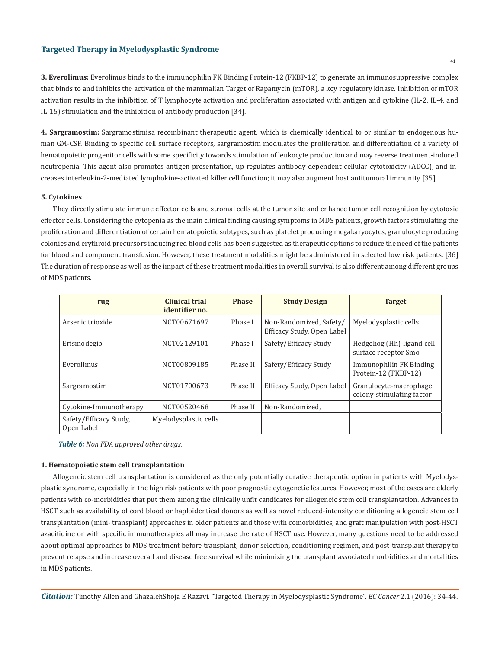**3. Everolimus:** Everolimus binds to the immunophilin FK Binding Protein-12 (FKBP-12) to generate an immunosuppressive complex that binds to and inhibits the activation of the mammalian Target of Rapamycin (mTOR), a key regulatory kinase. Inhibition of mTOR activation results in the inhibition of T lymphocyte activation and proliferation associated with antigen and cytokine (IL-2, IL-4, and IL-15) stimulation and the inhibition of antibody production [34].

**4. Sargramostim:** Sargramostimisa recombinant therapeutic agent, which is chemically identical to or similar to endogenous human GM-CSF. Binding to specific cell surface receptors, sargramostim modulates the proliferation and differentiation of a variety of hematopoietic progenitor cells with some specificity towards stimulation of leukocyte production and may reverse treatment-induced neutropenia. This agent also promotes antigen presentation, up-regulates antibody-dependent cellular cytotoxicity (ADCC), and increases interleukin-2-mediated lymphokine-activated killer cell function; it may also augment host antitumoral immunity [35].

### **5. Cytokines**

They directly stimulate immune effector cells and stromal cells at the tumor site and enhance tumor cell recognition by cytotoxic effector cells. Considering the cytopenia as the main clinical finding causing symptoms in MDS patients, growth factors stimulating the proliferation and differentiation of certain hematopoietic subtypes, such as platelet producing megakaryocytes, granulocyte producing colonies and erythroid precursors inducing red blood cells has been suggested as therapeutic options to reduce the need of the patients for blood and component transfusion. However, these treatment modalities might be administered in selected low risk patients. [36] The duration of response as well as the impact of these treatment modalities in overall survival is also different among different groups of MDS patients.

| rug                                  | <b>Clinical trial</b><br>identifier no. | <b>Phase</b> | <b>Study Design</b>                                   | <b>Target</b>                                       |
|--------------------------------------|-----------------------------------------|--------------|-------------------------------------------------------|-----------------------------------------------------|
| Arsenic trioxide                     | NCT00671697                             | Phase I      | Non-Randomized, Safety/<br>Efficacy Study, Open Label | Myelodysplastic cells                               |
| Erismodegib                          | NCT02129101                             | Phase I      | Safety/Efficacy Study                                 | Hedgehog (Hh)-ligand cell<br>surface receptor Smo   |
| Everolimus                           | NCT00809185                             | Phase II     | Safety/Efficacy Study                                 | Immunophilin FK Binding<br>Protein-12 (FKBP-12)     |
| Sargramostim                         | NCT01700673                             | Phase II     | Efficacy Study, Open Label                            | Granulocyte-macrophage<br>colony-stimulating factor |
| Cytokine-Immunotherapy               | NCT00520468                             | Phase II     | Non-Randomized.                                       |                                                     |
| Safety/Efficacy Study,<br>Open Label | Myelodysplastic cells                   |              |                                                       |                                                     |

*Table 6: Non FDA approved other drugs.*

# **1. Hematopoietic stem cell transplantation**

Allogeneic stem cell transplantation is considered as the only potentially curative therapeutic option in patients with Myelodysplastic syndrome, especially in the high risk patients with poor prognostic cytogenetic features. However, most of the cases are elderly patients with co-morbidities that put them among the clinically unfit candidates for allogeneic stem cell transplantation. Advances in HSCT such as availability of cord blood or haploidentical donors as well as novel reduced-intensity conditioning allogeneic stem cell transplantation (mini- transplant) approaches in older patients and those with comorbidities, and graft manipulation with post-HSCT azacitidine or with specific immunotherapies all may increase the rate of HSCT use. However, many questions need to be addressed about optimal approaches to MDS treatment before transplant, donor selection, conditioning regimen, and post-transplant therapy to prevent relapse and increase overall and disease free survival while minimizing the transplant associated morbidities and mortalities in MDS patients.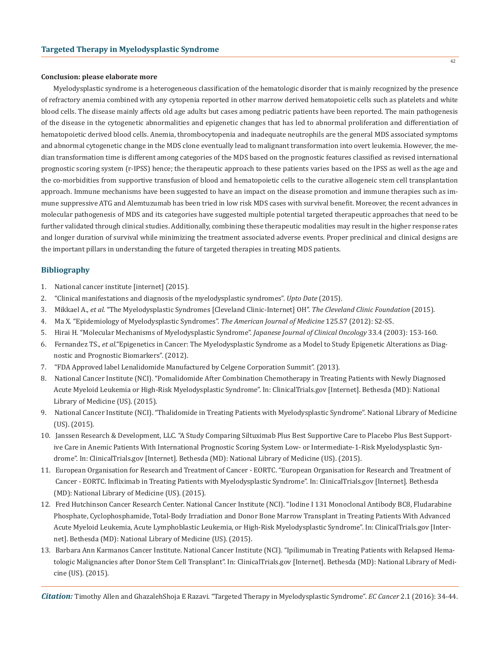### **Conclusion: please elaborate more**

Myelodysplastic syndrome is a heterogeneous classification of the hematologic disorder that is mainly recognized by the presence of refractory anemia combined with any cytopenia reported in other marrow derived hematopoietic cells such as platelets and white blood cells. The disease mainly affects old age adults but cases among pediatric patients have been reported. The main pathogenesis of the disease in the cytogenetic abnormalities and epigenetic changes that has led to abnormal proliferation and differentiation of hematopoietic derived blood cells. Anemia, thrombocytopenia and inadequate neutrophils are the general MDS associated symptoms and abnormal cytogenetic change in the MDS clone eventually lead to malignant transformation into overt leukemia. However, the median transformation time is different among categories of the MDS based on the prognostic features classified as revised international prognostic scoring system (r-IPSS) hence; the therapeutic approach to these patients varies based on the IPSS as well as the age and the co-morbidities from supportive transfusion of blood and hematopoietic cells to the curative allogeneic stem cell transplantation approach. Immune mechanisms have been suggested to have an impact on the disease promotion and immune therapies such as immune suppressive ATG and Alemtuzumab has been tried in low risk MDS cases with survival benefit. Moreover, the recent advances in molecular pathogenesis of MDS and its categories have suggested multiple potential targeted therapeutic approaches that need to be further validated through clinical studies. Additionally, combining these therapeutic modalities may result in the higher response rates and longer duration of survival while minimizing the treatment associated adverse events. Proper preclinical and clinical designs are the important pillars in understanding the future of targeted therapies in treating MDS patients.

### **Bibliography**

- 1. National cancer institute [internet] (2015).
- 2. "Clinical manifestations and diagnosis of the myelodysplastic syndromes". *Upto Date* (2015).
- 3. Mikkael A., *et al*. "The Myelodysplastic Syndromes [Cleveland Clinic-Internet] OH". *The Cleveland Clinic Foundation* (2015).
- 4. Ma X. "Epidemiology of Myelodysplastic Syndromes". *The American Journal of Medicine* 125.S7 (2012): S2-S5.
- 5. Hirai H. "Molecular Mechanisms of Myelodysplastic Syndrome". *Japanese Journal of Clinical Oncology* 33.4 (2003): 153-160.
- 6. Fernandez TS., *et al*."Epigenetics in Cancer: The Myelodysplastic Syndrome as a Model to Study Epigenetic Alterations as Diag nostic and Prognostic Biomarkers". (2012).
- 7. "FDA Approved label Lenalidomide Manufactured by Celgene Corporation Summit". (2013).
- 8. National Cancer Institute (NCI). "Pomalidomide After Combination Chemotherapy in Treating Patients with Newly Diagnosed Acute Myeloid Leukemia or High-Risk Myelodysplastic Syndrome". In: ClinicalTrials.gov [Internet]. Bethesda (MD): National Library of Medicine (US). (2015).
- 9. National Cancer Institute (NCI). "Thalidomide in Treating Patients with Myelodysplastic Syndrome". National Library of Medicine (US). (2015).
- 10. Janssen Research & Development, LLC. "A Study Comparing Siltuximab Plus Best Supportive Care to Placebo Plus Best Support ive Care in Anemic Patients With International Prognostic Scoring System Low- or Intermediate-1-Risk Myelodysplastic Syn drome". In: ClinicalTrials.gov [Internet]. Bethesda (MD): National Library of Medicine (US). (2015).
- 11. European Organisation for Research and Treatment of Cancer EORTC. "European Organisation for Research and Treatment of Cancer - EORTC. Infliximab in Treating Patients with Myelodysplastic Syndrome". In: ClinicalTrials.gov [Internet]. Bethesda (MD): National Library of Medicine (US). (2015).
- 12. Fred Hutchinson Cancer Research Center. National Cancer Institute (NCI). "Iodine I 131 Monoclonal Antibody BC8, Fludarabine Phosphate, Cyclophosphamide, Total-Body Irradiation and Donor Bone Marrow Transplant in Treating Patients With Advanced Acute Myeloid Leukemia, Acute Lymphoblastic Leukemia, or High-Risk Myelodysplastic Syndrome". In: ClinicalTrials.gov [Inter net]. Bethesda (MD): National Library of Medicine (US). (2015).
- 13. Barbara Ann Karmanos Cancer Institute. National Cancer Institute (NCI). "Ipilimumab in Treating Patients with Relapsed Hema tologic Malignancies after Donor Stem Cell Transplant". In: ClinicalTrials.gov [Internet]. Bethesda (MD): National Library of Medi cine (US). (2015).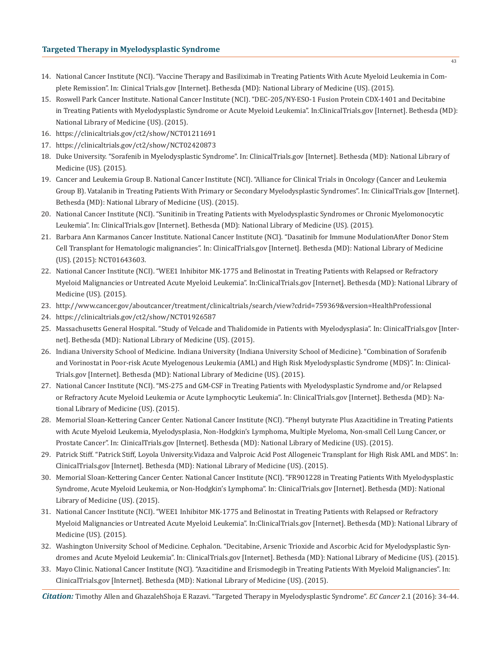- 14. National Cancer Institute (NCI). "Vaccine Therapy and Basiliximab in Treating Patients With Acute Myeloid Leukemia in Com plete Remission". In: Clinical Trials.gov [Internet]. Bethesda (MD): National Library of Medicine (US). (2015).
- 15. Roswell Park Cancer Institute. National Cancer Institute (NCI). "DEC-205/NY-ESO-1 Fusion Protein CDX-1401 and Decitabine in Treating Patients with Myelodysplastic Syndrome or Acute Myeloid Leukemia". In:ClinicalTrials.gov [Internet]. Bethesda (MD): National Library of Medicine (US). (2015).
- 16. https://clinicaltrials.gov/ct2/show/NCT01211691
- 17. https://clinicaltrials.gov/ct2/show/NCT02420873
- 18. Duke University. "Sorafenib in Myelodysplastic Syndrome". In: ClinicalTrials.gov [Internet]. Bethesda (MD): National Library of Medicine (US). (2015).
- 19. Cancer and Leukemia Group B. National Cancer Institute (NCI). "Alliance for Clinical Trials in Oncology (Cancer and Leukemia Group B). Vatalanib in Treating Patients With Primary or Secondary Myelodysplastic Syndromes". In: ClinicalTrials.gov [Internet]. Bethesda (MD): National Library of Medicine (US). (2015).
- 20. National Cancer Institute (NCI). "Sunitinib in Treating Patients with Myelodysplastic Syndromes or Chronic Myelomonocytic Leukemia". In: ClinicalTrials.gov [Internet]. Bethesda (MD): National Library of Medicine (US). (2015).
- 21. Barbara Ann Karmanos Cancer Institute. National Cancer Institute (NCI). "Dasatinib for Immune ModulationAfter Donor Stem Cell Transplant for Hematologic malignancies". In: ClinicalTrials.gov [Internet]. Bethesda (MD): National Library of Medicine (US). (2015): NCT01643603.
- 22. National Cancer Institute (NCI). "WEE1 Inhibitor MK-1775 and Belinostat in Treating Patients with Relapsed or Refractory Myeloid Malignancies or Untreated Acute Myeloid Leukemia". In:ClinicalTrials.gov [Internet]. Bethesda (MD): National Library of Medicine (US). (2015).
- 23. http://www.cancer.gov/aboutcancer/treatment/clinicaltrials/search/view?cdrid=759369&version=HealthProfessional
- 24. https://clinicaltrials.gov/ct2/show/NCT01926587
- 25. Massachusetts General Hospital. "Study of Velcade and Thalidomide in Patients with Myelodysplasia". In: ClinicalTrials.gov [Inter net]. Bethesda (MD): National Library of Medicine (US). (2015).
- 26. Indiana University School of Medicine. Indiana University (Indiana University School of Medicine). "Combination of Sorafenib and Vorinostat in Poor-risk Acute Myelogenous Leukemia (AML) and High Risk Myelodysplastic Syndrome (MDS)". In: Clinical- Trials.gov [Internet]. Bethesda (MD): National Library of Medicine (US). (2015).
- 27. National Cancer Institute (NCI). "MS-275 and GM-CSF in Treating Patients with Myelodysplastic Syndrome and/or Relapsed or Refractory Acute Myeloid Leukemia or Acute Lymphocytic Leukemia". In: ClinicalTrials.gov [Internet]. Bethesda (MD): Na tional Library of Medicine (US). (2015).
- 28. Memorial Sloan-Kettering Cancer Center. National Cancer Institute (NCI). "Phenyl butyrate Plus Azacitidine in Treating Patients with Acute Myeloid Leukemia, Myelodysplasia, Non-Hodgkin's Lymphoma, Multiple Myeloma, Non-small Cell Lung Cancer, or Prostate Cancer". In: ClinicalTrials.gov [Internet]. Bethesda (MD): National Library of Medicine (US). (2015).
- 29. Patrick Stiff. "Patrick Stiff, Loyola University.Vidaza and Valproic Acid Post Allogeneic Transplant for High Risk AML and MDS". In: ClinicalTrials.gov [Internet]. Bethesda (MD): National Library of Medicine (US). (2015).
- 30. Memorial Sloan-Kettering Cancer Center. National Cancer Institute (NCI). "FR901228 in Treating Patients With Myelodysplastic Syndrome, Acute Myeloid Leukemia, or Non-Hodgkin's Lymphoma". In: ClinicalTrials.gov [Internet]. Bethesda (MD): National Library of Medicine (US). (2015).
- 31. National Cancer Institute (NCI). "WEE1 Inhibitor MK-1775 and Belinostat in Treating Patients with Relapsed or Refractory Myeloid Malignancies or Untreated Acute Myeloid Leukemia". In:ClinicalTrials.gov [Internet]. Bethesda (MD): National Library of Medicine (US). (2015).
- 32. Washington University School of Medicine. Cephalon. "Decitabine, Arsenic Trioxide and Ascorbic Acid for Myelodysplastic Syn dromes and Acute Myeloid Leukemia". In: ClinicalTrials.gov [Internet]. Bethesda (MD): National Library of Medicine (US). (2015).
- 33. Mayo Clinic. National Cancer Institute (NCI). "Azacitidine and Erismodegib in Treating Patients With Myeloid Malignancies". In: ClinicalTrials.gov [Internet]. Bethesda (MD): National Library of Medicine (US). (2015).